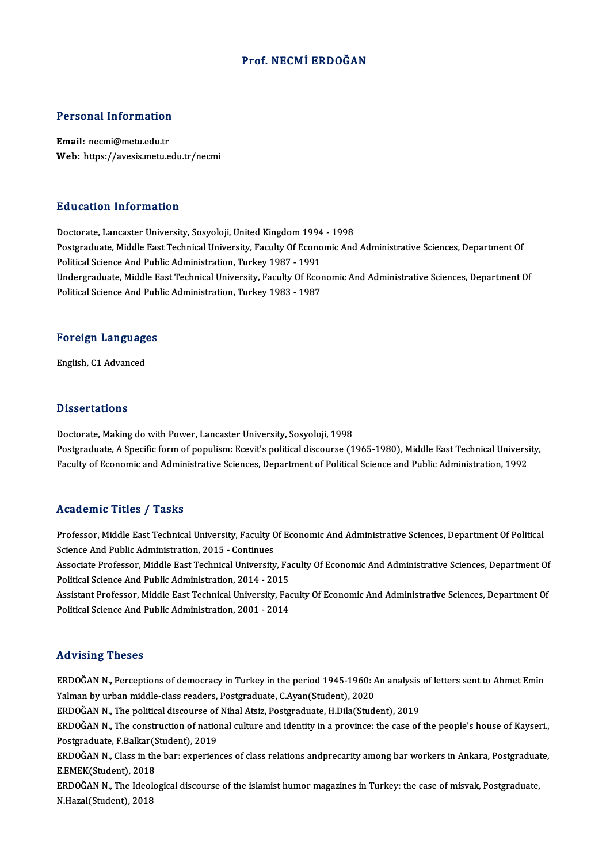### Prof.NECMİ ERDOĞAN

# Personal Information

Personal Information<br>Email: necmi@metu.edu.tr<br>Web: https://avesis.metu.e Email: necmi@metu.edu.tr<br>Web: https://avesis.metu.edu.tr/necmi

#### Education Information

Doctorate, Lancaster University, Sosyoloji, United Kingdom 1994 - 1998 Postgraduate, Middle East Technical University, Faculty Of Economic And Administrative Sciences, Department Of Political Science And Public Administration, Turkey 1987 - 1991 Postgraduate, Middle East Technical University, Faculty Of Economic And Administrative Sciences, Department Of<br>Political Science And Public Administration, Turkey 1987 - 1991<br>Undergraduate, Middle East Technical University Political Science And Public Administration, Turkey 1987 - 1991<br>Undergraduate, Middle East Technical University, Faculty Of Ecor<br>Political Science And Public Administration, Turkey 1983 - 1987

### ronucal science And Pub<br>Foreign Languages F<mark>oreign Languag</mark>e<br>English, C1 Advanced

English, C1 Advanced<br>Dissertations

Doctorate, Making do with Power, Lancaster University, Sosyoloji, 1998 Postgraduate, A Specific form of populism: Ecevit's political discourse (1965-1980), Middle East Technical University, Faculty of Economic and Administrative Sciences, Department of Political Science and Public Administration, 1992

#### Academic Titles / Tasks

Academic Titles / Tasks<br>Professor, Middle East Technical University, Faculty Of Economic And Administrative Sciences, Department Of Political<br>Science And Public Administration 2015 - Continues Professor, Middle East Technical University, Faculty C<br>Science And Public Administration, 2015 - Continues<br>Associate Professor, Middle East Technical University Professor, Middle East Technical University, Faculty Of Economic And Administrative Sciences, Department Of Political<br>Science And Public Administration, 2015 - Continues<br>Associate Professor, Middle East Technical Universit

Science And Public Administration, 2015 - Continues<br>Associate Professor, Middle East Technical University, Fa<br>Political Science And Public Administration, 2014 - 2015<br>Assistant Professon, Middle East Technical University, Associate Professor, Middle East Technical University, Faculty Of Economic And Administrative Sciences, Department Of<br>Political Science And Public Administration, 2014 - 2015<br>Assistant Professor, Middle East Technical Univ

Political Science And Public Administration, 2014 - 2015<br>Assistant Professor, Middle East Technical University, Faculty Of Economic And Administrative Sciences, Department Of<br>Political Science And Public Administration, 20

#### Advising Theses

Advising Theses<br>ERDOĞAN N., Perceptions of democracy in Turkey in the period 1945-1960: An analysis of letters sent to Ahmet Emin<br>Yalman by urban middle slass readers. Pestsraduste C Avan(Student), 2020 YALMANDING INTERET<br>ERDOĞAN N., Perceptions of democracy in Turkey in the period 1945-1960: A<br>Yalman by urban middle-class readers, Postgraduate, C.Ayan(Student), 2020<br>ERDOĞAN N. The political discourse of Nihol Ateir, Bost ERDOĞAN N., Perceptions of democracy in Turkey in the period 1945-1960: An analysis<br>Yalman by urban middle-class readers, Postgraduate, C.Ayan(Student), 2020<br>ERDOĞAN N., The political discourse of Nihal Atsiz, Postgraduate Yalman by urban middle-class readers, Postgraduate, C.Ayan(Student), 2020<br>ERDOĞAN N., The political discourse of Nihal Atsiz, Postgraduate, H.Dila(Student), 2019<br>ERDOĞAN N., The construction of national culture and identit ERDOĞAN N., The political discourse of<br>ERDOĞAN N., The construction of natio<br>Postgraduate, F.Balkar(Student), 2019<br>ERDOĞAN N. Class in the baru evnerian ERDOĞAN N., The construction of national culture and identity in a province: the case of the people's house of Kayseri.,<br>Postgraduate, F.Balkar(Student), 2019<br>ERDOĞAN N., Class in the bar: experiences of class relations an Postgraduate, F.Balkar (S<br>ERDOĞAN N., Class in the<br>E.EMEK (Student), 2018<br>EPDOĞAN N., The Ideale ERDOĞAN N., Class in the bar: experiences of class relations andprecarity among bar workers in Ankara, Postgraduat<br>E.EMEK(Student), 2018<br>ERDOĞAN N., The Ideological discourse of the islamist humor magazines in Turkey: the E.EMEK(Student), 2018<br>ERDOĞAN N., The Ideological discourse of the islamist humor magazines in Turkey: the case of misvak, Postgraduate,<br>N.Hazal(Student), 2018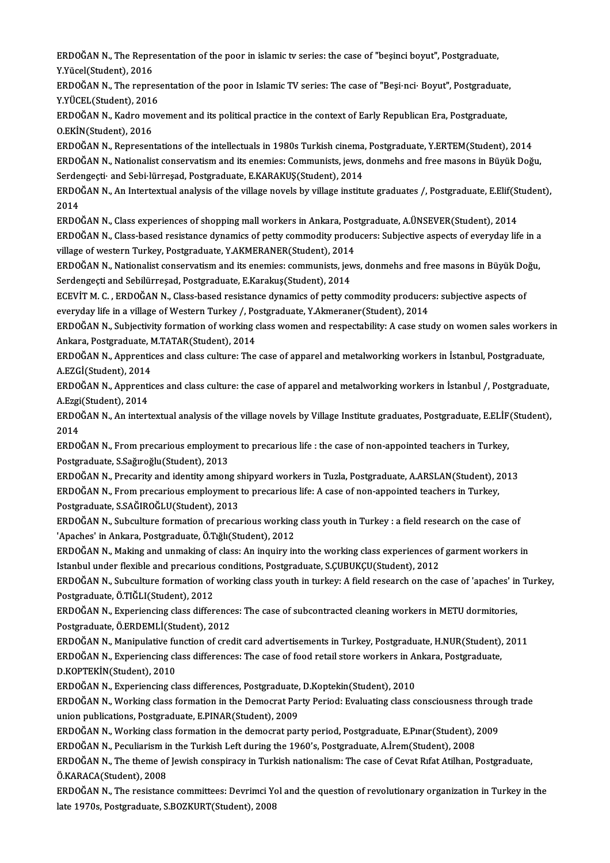ERDOĞAN N., The Representation of the poor in islamic tv series: the case of "beşinci boyut", Postgraduate,<br>Y Vücel(Student), 2016 ERDOĞAN N., The Repre<br>Y.Yücel(Student), 2016<br>EPDOĞAN N., The repre ERDOĞAN N., The Representation of the poor in islamic tv series: the case of "beşinci boyut", Postgraduate,<br>Y.Yücel(Student), 2016<br>ERDOĞAN N., The representation of the poor in Islamic TV series: The case of "Beşi·nci· Boy

Y.Yücel(Student), 2016<br>ERDOĞAN N., The repres<br>Y.YÜCEL(Student), 2016<br>EPDOĞAN N. *Vodre mev* ERDOĞAN N., The representation of the poor in Islamic TV series: The case of "Beşi·nci· Boyut", Postgraduate<br>Y.YÜCEL(Student), 2016<br>ERDOĞAN N., Kadro movement and its political practice in the context of Early Republican E

Y.YÜCEL(Student), 2016<br>ERDOĞAN N., Kadro movement and its political practice in the context of Early Republican Era, Postgraduate,<br>O.EKİN(Student), 2016 ERDOĞAN N., Kadro movement and its political practice in the context of Early Republican Era, Postgraduate,<br>O.EKİN(Student), 2016<br>ERDOĞAN N., Representations of the intellectuals in 1980s Turkish cinema, Postgraduate, Y.ER

ERDOĞAN N., Nationalist conservatism and its enemies: Communists, jews, donmehs and free masons in Büyük Doğu,<br>Serdengeçti· and Sebi·lürreşad, Postgraduate, E.KARAKUŞ(Student), 2014 ERDOĞAN N., Representations of the intellectuals in 1980s Turkish cinema<br>ERDOĞAN N., Nationalist conservatism and its enemies: Communists, jews,<br>Serdengeçti· and Sebi·lürreşad, Postgraduate, E.KARAKUŞ(Student), 2014<br>EPDOĞA ERDOĞAN N., Nationalist conservatism and its enemies: Communists, jews, donmehs and free masons in Büyük Doğu,<br>Serdengeçti· and Sebi·lürreşad, Postgraduate, E.KARAKUŞ(Student), 2014<br>ERDOĞAN N., An Intertextual analysis of

Serde<br>ERDO<br>2014<br>ERDO ERDOĞAN N., An Intertextual analysis of the village novels by village institute graduates /, Postgraduate, E.Elif(St<br>2014<br>ERDOĞAN N., Class experiences of shopping mall workers in Ankara, Postgraduate, A.ÜNSEVER(Student),

2014<br>ERDOĞAN N., Class experiences of shopping mall workers in Ankara, Postgraduate, A.ÜNSEVER(Student), 2014<br>ERDOĞAN N., Class-based resistance dynamics of petty commodity producers: Subjective aspects of everyday life in ERDOĞAN N., Class experiences of shopping mall workers in Ankara, Pos<br>ERDOĞAN N., Class-based resistance dynamics of petty commodity produ<br>village of western Turkey, Postgraduate, Y.AKMERANER(Student), 2014<br>EPDOĞAN N. Nati ERDOĞAN N., Class-based resistance dynamics of petty commodity producers: Subjective aspects of everyday life in a<br>village of western Turkey, Postgraduate, Y.AKMERANER(Student), 2014<br>ERDOĞAN N., Nationalist conservatism an

village of western Turkey, Postgraduate, Y.AKMERANER(Student), 2014<br>ERDOĞAN N., Nationalist conservatism and its enemies: communists, jev<br>Serdengeçti and Sebilürreşad, Postgraduate, E.Karakuş(Student), 2014<br>ECEVIT M.C., EP ERDOĞAN N., Nationalist conservatism and its enemies: communists, jews, donmehs and free masons in Büyük Doğu,<br>Serdengeçti and Sebilürreşad, Postgraduate, E.Karakuş(Student), 2014

ECEVIT M. C., ERDOĞAN N., Class-based resistance dynamics of petty commodity producers: subjective aspects of ECEVİT M. C. , ERDOĞAN N., Class-based resistance dynamics of petty commodity producers: subjective aspects of<br>everyday life in a village of Western Turkey /, Postgraduate, Y.Akmeraner(Student), 2014<br>ERDOĞAN N., Subjectivi

everyday life in a village of Western Turkey /, Postgraduate, Y.Akmeraner(Student), 2014<br>ERDOĞAN N., Subjectivity formation of working class women and respectability: A case study on women sales worker:<br>Ankara, Postgraduat ERDOĞAN N., Subjectivity formation of working class women and respectability: A case study on women sales workers<br>Ankara, Postgraduate, M.TATAR(Student), 2014<br>ERDOĞAN N., Apprentices and class culture: The case of apparel

Ankara, Postgraduate, M.TATAR(Student), 2014<br>ERDOĞAN N., Apprentices and class culture: The<br>A.EZGİ(Student), 2014 ERDOĞAN N., Apprentices and class culture: The case of apparel and metalworking workers in İstanbul, Postgraduate,<br>A.EZGİ(Student), 2014<br>ERDOĞAN N., Apprentices and class culture: the case of apparel and metalworking worke

A.EZGİ(Student), 2014<br>ERDOĞAN N., Apprenti<br>A.Ezgi(Student), 2014<br>EPDOĞAN N. An intert ERDOĞAN N., Apprentices and class culture: the case of apparel and metalworking workers in İstanbul /, Postgraduate,<br>A.Ezgi(Student), 2014<br>ERDOĞAN N., An intertextual analysis of the village novels by Village Institute gra

A.Ezgi<br>ERDO<br>2014<br>ERDO ERDOĞAN N., An intertextual analysis of the village novels by Village Institute graduates, Postgraduate, E.ELİF<br>2014<br>ERDOĞAN N., From precarious employment to precarious life : the case of non-appointed teachers in Turkey,

2014<br>ERDOĞAN N., From precarious employment to precarious life : the case of non-appointed teachers in Turkey,<br>Postgraduate, S.Sağıroğlu(Student), 2013 ERDOĞAN N., From precarious employment to precarious life : the case of non-appointed teachers in Turkey,<br>Postgraduate, S.Sağıroğlu(Student), 2013<br>ERDOĞAN N., Precarity and identity among shipyard workers in Tuzla, Postgra

Postgraduate, S.Sağıroğlu(Student), 2013<br>ERDOĞAN N., Precarity and identity among shipyard workers in Tuzla, Postgraduate, A.ARSLAN(Student), 2<br>ERDOĞAN N., From precarious employment to precarious life: A case of non-appoi ERDOĞAN N., Precarity and identity among s<br>ERDOĞAN N., From precarious employment<br>Postgraduate, S.SAĞIROĞLU(Student), 2013<br>EPDOĞAN N. Subsulture formation of pressu ERDOĞAN N., From precarious employment to precarious life: A case of non-appointed teachers in Turkey,<br>Postgraduate, S.SAĞIROĞLU(Student), 2013<br>ERDOĞAN N., Subculture formation of precarious working class youth in Turkey :

Postgraduate, S.SAĞIROĞLU(Student), 2013<br>ERDOĞAN N., Subculture formation of precarious working<br>'Apaches' in Ankara, Postgraduate, Ö.Tığlı(Student), 2012<br>ERDOĞAN N. Making and unmaking of elassu An inquiry in ERDOĞAN N., Subculture formation of precarious working class youth in Turkey : a field research on the case of<br>'Apaches' in Ankara, Postgraduate, Ö.Tığlı(Student), 2012<br>ERDOĞAN N., Making and unmaking of class: An inquiry

'Apaches' in Ankara, Postgraduate, Ö.Tığlı(Student), 2012<br>ERDOĞAN N., Making and unmaking of class: An inquiry into the working class experiences of garment workers in Istanbul under flexible and precarious conditions, Postgraduate, S.CUBUKCU(Student), 2012

ERDOĞAN N., Subculture formation of working class youth in turkey: A field research on the case of 'apaches' in Turkey,<br>Postgraduate, Ö.TIĞLI(Student), 2012 ERDOĞAN N., Subculture formation of working class youth in turkey: A field research on the case of 'apaches' in<br>Postgraduate, Ö.TIĞLI(Student), 2012<br>ERDOĞAN N., Experiencing class differences: The case of subcontracted cle

Postgraduate, Ö.TIĞLI(Student), 2012<br>ERDOĞAN N., Experiencing class difference<br>Postgraduate, Ö.ERDEMLİ(Student), 2012<br>ERDOĞAN N. Manipulative function of cree ERDOĞAN N., Experiencing class differences: The case of subcontracted cleaning workers in METU dormitories,<br>Postgraduate, Ö.ERDEMLİ(Student), 2012<br>ERDOĞAN N., Manipulative function of credit card advertisements in Turkey,

Postgraduate, Ö.ERDEMLİ(Student), 2012<br>ERDOĞAN N., Manipulative function of credit card advertisements in Turkey, Postgraduate, H.NUR(Student),<br>ERDOĞAN N., Experiencing class differences: The case of food retail store work ERDOĞAN N., Manipulative fu<br>ERDOĞAN N., Experiencing cl:<br>D.KOPTEKİN(Student), 2010<br>EPDOĞAN N., Experiencing cl: ERDOĞAN N., Experiencing class differences: The case of food retail store workers in A<br>D.KOPTEKİN(Student), 2010<br>ERDOĞAN N., Experiencing class differences, Postgraduate, D.Koptekin(Student), 2010<br>EPDOĞAN N. Working class D.KOPTEKİN(Student), 2010<br>ERDOĞAN N., Experiencing class differences, Postgraduate, D.Koptekin(Student), 2010<br>ERDOĞAN N., Working class formation in the Democrat Party Period: Evaluating class consciousness through trade

union publications, Postgraduate, E.PINAR(Student), 2009 ERDOĞAN N., Working class formation in the Democrat Party Period: Evaluating class consciousness throug<br>union publications, Postgraduate, E.PINAR(Student), 2009<br>ERDOĞAN N., Working class formation in the democrat party per union publications, Postgraduate, E.PINAR(Student), 2009<br>ERDOĞAN N., Working class formation in the democrat party period, Postgraduate, E.Pınar(Student), .<br>ERDOĞAN N., Peculiarism in the Turkish Left during the 1960's, Po

ERDOĞAN N., Working class formation in the democrat party period, Postgraduate, E.Pınar(Student), 2009<br>ERDOĞAN N., Peculiarism in the Turkish Left during the 1960's, Postgraduate, A.İrem(Student), 2008<br>ERDOĞAN N., The them ERDOĞAN N., Peculiarism in<br>ERDOĞAN N., The theme of<br>Ö.KARACA(Student), 2008<br>EPDOĞAN N., The resistanc ERDOĞAN N., The theme of Jewish conspiracy in Turkish nationalism: The case of Cevat Rıfat Atilhan, Postgraduate,<br>Ö.KARACA(Student), 2008<br>ERDOĞAN N., The resistance committees: Devrimci Yol and the question of revolutionar

Ö.KARACA(Student), 2008<br>ERDOĞAN N., The resistance committees: Devrimci Yo<br>late 1970s, Postgraduate, S.BOZKURT(Student), 2008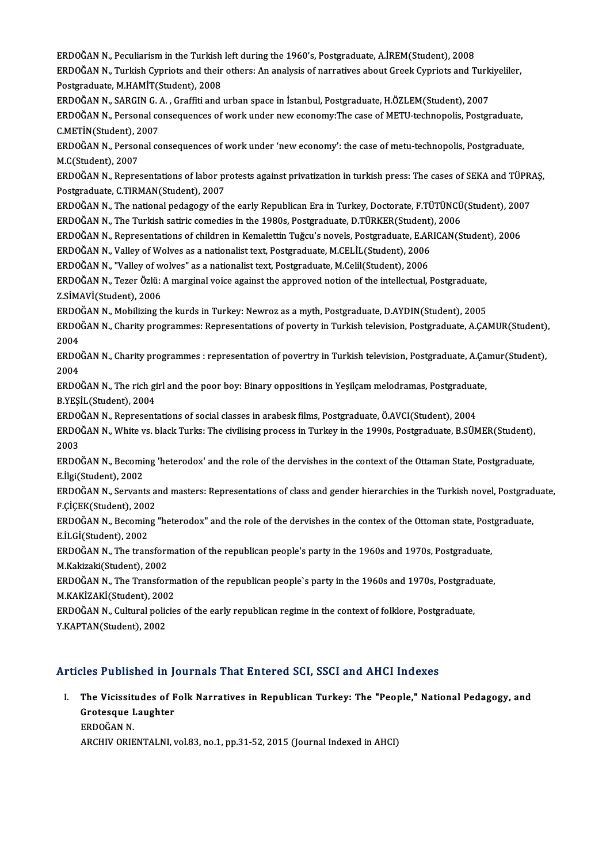ERDOĞANN.,PeculiarismintheTurkish leftduring the 1960's,Postgraduate,A.İREM(Student),2008 ERDOĞAN N., Peculiarism in the Turkish left during the 1960's, Postgraduate, A.İREM(Student), 2008<br>ERDOĞAN N., Turkish Cypriots and their others: An analysis of narratives about Greek Cypriots and Turkiyeliler,<br>Pestsraduat ERDOĞAN N., Peculiarism in the Turkish<br>ERDOĞAN N., Turkish Cypriots and their<br>Postgraduate, M.HAMİT(Student), 2008<br>ERDOĞAN N. SARCIN G. A., Graffiti and i ERDOĞAN N., Turkish Cypriots and their others: An analysis of narratives about Greek Cypriots and Turk<br>Postgraduate, M.HAMİT(Student), 2008<br>ERDOĞAN N., SARGIN G. A. , Graffiti and urban space in İstanbul, Postgraduate, H.Ö Postgraduate, M.HAMİT(Student), 2008<br>ERDOĞAN N., SARGIN G. A. , Graffiti and urban space in İstanbul, Postgraduate, H.ÖZLEM(Student), 2007<br>ERDOĞAN N., Personal consequences of work under new economy:The case of METU-techno ERDOĞAN N., SARGIN G. A., Graffiti and urban space in İstanbul, Postgraduate, H.ÖZLEM(Student), 2007 ERDOĞAN N., Personal consequences of work under new economy:The case of METU-technopolis, Postgraduate,<br>C.METİN(Student), 2007<br>ERDOĞAN N., Personal consequences of work under 'new economy': the case of metu-technopolis, Po C.METİN(Student), 2<br>ERDOĞAN N., Person<br>M.C(Student), 2007<br>EPDOĞAN N., Perro ERDOĞAN N., Personal consequences of work under 'new economy': the case of metu-technopolis, Postgraduate,<br>M.C(Student), 2007<br>ERDOĞAN N., Representations of labor protests against privatization in turkish press: The cases M.C(Student), 2007<br>ERDOĞAN N., Representations of labor p<br>Postgraduate, C.TIRMAN(Student), 2007 ERDOĞAN N., Representations of labor protests against privatization in turkish press: The cases of SEKA and TÜPR.<br>Postgraduate, C.TIRMAN(Student), 2007<br>ERDOĞAN N., The national pedagogy of the early Republican Era in Turke Postgraduate, C.TIRMAN(Student), 2007<br>ERDOĞAN N., The national pedagogy of the early Republican Era in Turkey, Doctorate, F.TÜTÜNCÜ<br>ERDOĞAN N., The Turkish satiric comedies in the 1980s, Postgraduate, D.TÜRKER(Student), 20 ERDOĞAN N., The national pedagogy of the early Republican Era in Turkey, Doctorate, F.TÜTÜNCÜ(Student), 200<br>ERDOĞAN N., The Turkish satiric comedies in the 1980s, Postgraduate, D.TÜRKER(Student), 2006<br>ERDOĞAN N., Represent ERDOĞAN N., The Turkish satiric comedies in the 1980s, Postgraduate, D.TÜRKER(Student)<br>ERDOĞAN N., Representations of children in Kemalettin Tuğcu's novels, Postgraduate, E.AR<br>ERDOĞAN N., Valley of Wolves as a nationalist ERDOĞAN N., Representations of children in Kemalettin Tuğcu's novels, Postgraduate, E.AF<br>ERDOĞAN N., Valley of Wolves as a nationalist text, Postgraduate, M.CELİL(Student), 2006<br>ERDOĞAN N., "Valley of wolves" as a national ERDOĞAN N., Valley of Wolves as a nationalist text, Postgraduate, M.CELİL(Student), 2006<br>ERDOĞAN N., "Valley of wolves" as a nationalist text, Postgraduate, M.Celil(Student), 2006<br>ERDOĞAN N., Tezer Özlü: A marginal voice a ERDOĞAN N., "Valley of wolves" as a nationalist text, Postgraduate, M.Celil(Student), 2006<br>ERDOĞAN N., Tezer Özlü: A marginal voice against the approved notion of the intellectual,<br>Z.SİMAVİ(Student), 2006 ERDOĞAN N., Tezer Özlü: A marginal voice against the approved notion of the intellectual, Postgraduate,<br>Z.SİMAVİ(Student), 2006<br>ERDOĞAN N., Mobilizing the kurds in Turkey: Newroz as a myth, Postgraduate, D.AYDIN(Student), ERDOĞAN N., Charity programmes: Representations of poverty in Turkish television, Postgraduate, A.ÇAMUR(Student),<br>2004 ERDOĞAN N., Mobilizing the kurds in Turkey: Newroz as a myth, Postgraduate, D.AYDIN(Student), 2005 ERDOĞAN N., Charity programmes: Representations of poverty in Turkish television, Postgraduate, A.ÇAMUR(Student)<br>2004<br>ERDOĞAN N., Charity programmes : representation of povertry in Turkish television, Postgraduate, A.Çamur 2004<br>ERDO<br>2004<br>ERDO ERDOĞAN N., Charity programmes : representation of povertry in Turkish television, Postgraduate, A.Ça<br>2004<br>ERDOĞAN N., The rich girl and the poor boy: Binary oppositions in Yeşilçam melodramas, Postgraduate,<br>P.VESİL (Stude 2004<br>ERDOĞAN N., The rich gi<br>B.YEŞİL(Student), 2004<br>ERDOĞAN N. Benresent ERDOĞAN N., The rich girl and the poor boy: Binary oppositions in Yeşilçam melodramas, Postgraduat<br>B.YEŞİL(Student), 2004<br>ERDOĞAN N., Representations of social classes in arabesk films, Postgraduate, Ö.AVCI(Student), 2004<br> B.YEŞİL(Student), 2004<br>ERDOĞAN N., Representations of social classes in arabesk films, Postgraduate, Ö.AVCI(Student), 2004<br>ERDOĞAN N., White vs. black Turks: The civilising process in Turkey in the 1990s, Postgraduate, B.S ERDOĞAN N., Representations of social classes in arabesk films, Postgraduate, Ö.AVCI(Student), 2004<br>ERDOĞAN N., White vs. black Turks: The civilising process in Turkey in the 1990s, Postgraduate, B.SÜ!<br>2003 ERDOĞAN N., White vs. black Turks: The civilising process in Turkey in the 1990s, Postgraduate, B.SÜMER(Student),<br>2003<br>ERDOĞAN N., Becoming 'heterodox' and the role of the dervishes in the context of the Ottaman State, Pos ERDOĞAN N., Becoming 'heterodox' and the role of the dervishes in the context of the Ottaman State, Postgraduate,<br>E.İlgi(Student), 2002 ERDOĞAN N., Becoming 'heterodox' and the role of the dervishes in the context of the Ottaman State, Postgraduate,<br>E.İlgi(Student), 2002<br>ERDOĞAN N., Servants and masters: Representations of class and gender hierarchies in t E.İlgi(Student), 2002<br>ERDOĞAN N., Servants a<br>F.ÇİÇEK(Student), 2002<br>ERDOĞAN N., Beseming ERDOĞAN N., Servants and masters: Representations of class and gender hierarchies in the Turkish novel, Postgrad<br>F.ÇİÇEK(Student), 2002<br>ERDOĞAN N., Becoming "heterodox" and the role of the dervishes in the contex of the Ot F.ÇİÇEK(Student), 200<br>ERDOĞAN N., Becomin<br>E.İLGİ(Student), 2002<br>ERDOĞAN N., The tran ERDOĞAN N., Becoming "heterodox" and the role of the dervishes in the contex of the Ottoman state, Post<br>E.İLGİ(Student), 2002<br>ERDOĞAN N., The transformation of the republican people's party in the 1960s and 1970s, Postgrad E.İLGİ(Student), 2002<br>ERDOĞAN N., The transforr<br>M.Kakizaki(Student), 2002<br>EPDOĞAN N., The Transfor ERDOĞAN N., The transformation of the republican people's party in the 1960s and 1970s, Postgraduate,<br>M.Kakizaki(Student), 2002<br>ERDOĞAN N., The Transformation of the republican people`s party in the 1960s and 1970s, Postgr M.Kakizaki(Student), 2002<br>ERDOĞAN N., The Transformation of the republican people`s party in the 1960s and 1970s, Postgraduate,<br>M.KAKİZAKİ(Student), 2002 ERDOĞAN N., The Transformation of the republican people`s party in the 1960s and 1970s, Postgrad<br>M.KAKİZAKİ(Student), 2002<br>ERDOĞAN N., Cultural policies of the early republican regime in the context of folklore, Postgradua M.KAKİZAKİ(Student), 200<br>ERDOĞAN N., Cultural polic<br>Y.KAPTAN(Student), 2002 Articles Published in Journals That Entered SCI, SSCI and AHCI Indexes

rticles Published in Journals That Entered SCI, SSCI and AHCI Indexes<br>I. The Vicissitudes of Folk Narratives in Republican Turkey: The "People," National Pedagogy, and<br>Crategaye Laughter The Vicissitudes of F<br>Grotesque Laughter<br>EPDOČAN N The Vicissit<br>Grotesque I<br>ERDOĞAN N.<br>ARCHIV ORIE Grotesque Laughter<br>ERDOĞAN N.<br>ARCHIV ORIENTALNI, vol.83, no.1, pp.31-52, 2015 (Journal Indexed in AHCI)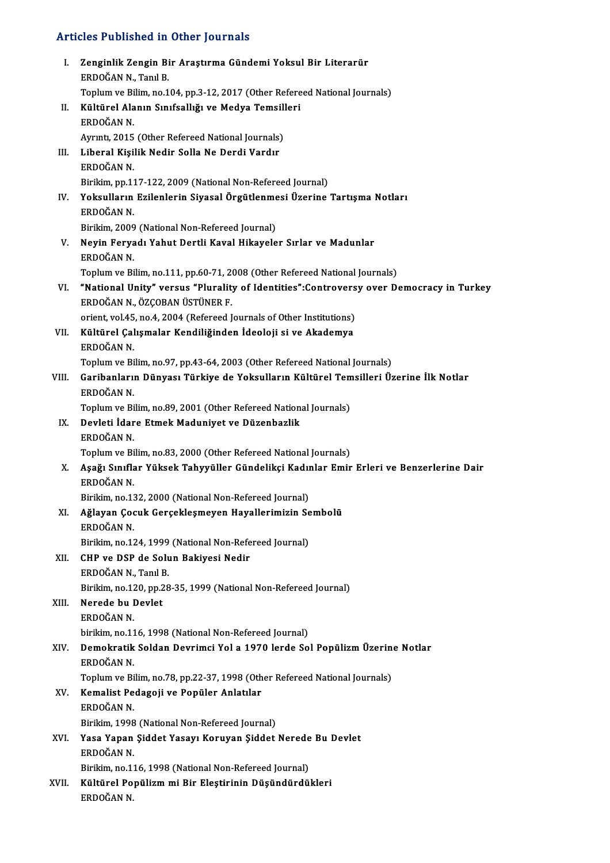# Articles Published in Other Journals

| <b>Articles Published in Other Journals</b> |                                                                                                        |  |
|---------------------------------------------|--------------------------------------------------------------------------------------------------------|--|
| Ι.                                          | Zenginlik Zengin Bir Araştırma Gündemi Yoksul Bir Literarür<br>ERDOĞAN N., Tanıl B.                    |  |
|                                             | Toplum ve Bilim, no.104, pp.3-12, 2017 (Other Refereed National Journals)                              |  |
| Н.                                          | Kültürel Alanın Sınıfsallığı ve Medya Temsilleri<br>ERDOĞAN N                                          |  |
|                                             | Ayrıntı, 2015 (Other Refereed National Journals)                                                       |  |
| Ш.                                          | Liberal Kişilik Nedir Solla Ne Derdi Vardır                                                            |  |
|                                             | ERDOĞAN N                                                                                              |  |
|                                             | Birikim, pp.117-122, 2009 (National Non-Refereed Journal)                                              |  |
| IV.                                         | Yoksulların Ezilenlerin Siyasal Örgütlenmesi Üzerine Tartışma Notları                                  |  |
|                                             | ERDOĞAN N<br>Birikim, 2009 (National Non-Refereed Journal)                                             |  |
| V.                                          | Neyin Feryadı Yahut Dertli Kaval Hikayeler Sırlar ve Madunlar                                          |  |
|                                             | ERDOĞAN N                                                                                              |  |
|                                             | Toplum ve Bilim, no.111, pp.60-71, 2008 (Other Refereed National Journals)                             |  |
| VI.                                         | "National Unity" versus "Plurality of Identities": Controversy over Democracy in Turkey                |  |
|                                             | ERDOĞAN N., ÖZÇOBAN ÜSTÜNER F.<br>orient, vol.45, no.4, 2004 (Refereed Journals of Other Institutions) |  |
| VII.                                        | Kültürel Çalışmalar Kendiliğinden İdeoloji si ve Akademya                                              |  |
|                                             | ERDOĞAN N.                                                                                             |  |
|                                             | Toplum ve Bilim, no 97, pp 43-64, 2003 (Other Refereed National Journals)                              |  |
| VIII.                                       | Garibanların Dünyası Türkiye de Yoksulların Kültürel Temsilleri Üzerine İlk Notlar                     |  |
|                                             | ERDOĞAN N<br>Toplum ve Bilim, no.89, 2001 (Other Refereed National Journals)                           |  |
| IX.                                         | Devleti İdare Etmek Maduniyet ve Düzenbazlik                                                           |  |
|                                             | ERDOĞAN N                                                                                              |  |
|                                             | Toplum ve Bilim, no.83, 2000 (Other Refereed National Journals)                                        |  |
| X.                                          | Aşağı Sınıflar Yüksek Tahyyüller Gündelikçi Kadınlar Emir Erleri ve Benzerlerine Dair<br>ERDOĞAN N.    |  |
|                                             | Birikim, no.132, 2000 (National Non-Refereed Journal)                                                  |  |
| XI.                                         | Ağlayan Çocuk Gerçekleşmeyen Hayallerimizin Sembolü                                                    |  |
|                                             | ERDOĞAN N.                                                                                             |  |
| XII.                                        | Birikim, no.124, 1999 (National Non-Refereed Journal)<br>CHP ve DSP de Solun Bakiyesi Nedir            |  |
|                                             | ERDOĞAN N., Tanıl B.                                                                                   |  |
|                                             | Birikim, no.120, pp.28-35, 1999 (National Non-Refereed Journal)                                        |  |
| XIII.                                       | Nerede bu Devlet                                                                                       |  |
|                                             | ERDOĞAN N.                                                                                             |  |
|                                             | birikim, no 116, 1998 (National Non-Refereed Journal)                                                  |  |
| XIV.                                        | Demokratik Soldan Devrimci Yol a 1970 lerde Sol Popülizm Üzerine Notlar<br>ERDOĞAN N                   |  |
|                                             | Toplum ve Bilim, no.78, pp.22-37, 1998 (Other Refereed National Journals)                              |  |
| XV.                                         | Kemalist Pedagoji ve Popüler Anlatılar                                                                 |  |
|                                             | ERDOĞAN N                                                                                              |  |
|                                             | Birikim, 1998 (National Non-Refereed Journal)                                                          |  |
| XVI.                                        | Yasa Yapan Şiddet Yasayı Koruyan Şiddet Nerede Bu Devlet<br>ERDOĞAN N.                                 |  |
|                                             | Birikim, no.116, 1998 (National Non-Refereed Journal)                                                  |  |
| XVII.                                       | Kültürel Popülizm mi Bir Eleştirinin Düşündürdükleri                                                   |  |
|                                             | ERDOĞAN N.                                                                                             |  |
|                                             |                                                                                                        |  |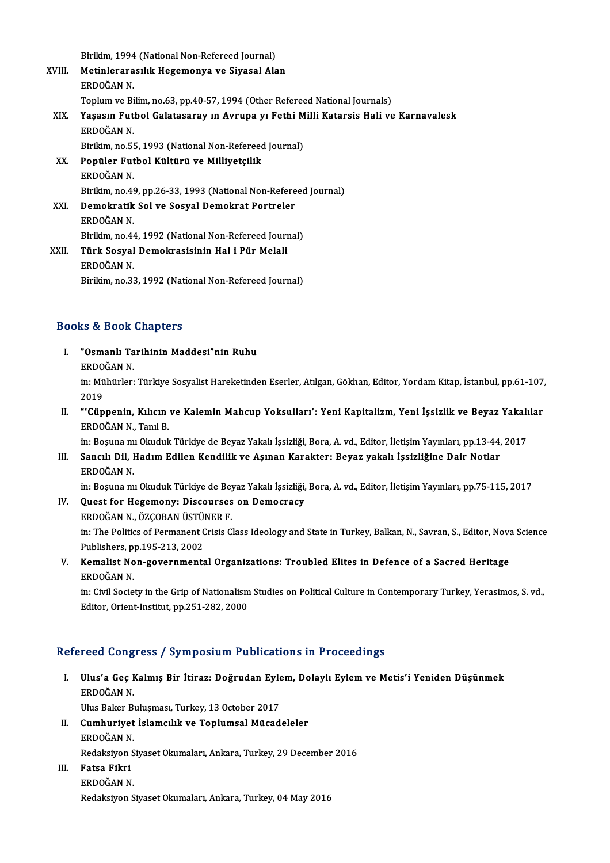Birikim, 1994 (National Non-Refereed Journal)<br>Matinlonarasılık Hogemonya ve Siyasel Ala

Birikim, no.33, 1992 (National Non-Refereed Journal)

|        | Birikim, 1994 (National Non-Refereed Journal)                                    |
|--------|----------------------------------------------------------------------------------|
| XVIII. | Metinlerarasılık Hegemonya ve Siyasal Alan                                       |
|        | ERDOĞAN N                                                                        |
|        | Toplum ve Bilim, no.63, pp.40-57, 1994 (Other Refereed National Journals)        |
| XIX.   | Yaşasın Futbol Galatasaray ın Avrupa yı Fethi Milli Katarsis Hali ve Karnavalesk |
|        | ERDOĞAN N.                                                                       |
|        | Birikim, no.55, 1993 (National Non-Refereed Journal)                             |
| XX.    | Popüler Futbol Kültürü ve Milliyetçilik                                          |
|        | ERDOĞAN N                                                                        |
|        | Birikim, no.49, pp.26-33, 1993 (National Non-Refereed Journal)                   |
| XXI.   | Demokratik Sol ve Sosyal Demokrat Portreler                                      |
|        | ERDOĞAN N.                                                                       |
|        | Birikim, no 44, 1992 (National Non-Refereed Journal)                             |
| XXII.  | Türk Sosyal Demokrasisinin Hal i Pür Melali                                      |
|        | ERDOĞAN N                                                                        |
|        | Dirilim no 22, 1002 (National Non Defensed Journal)                              |

### Books&Book Chapters

- I. "Osmanlı Tarihinin Maddesi"nin Ruhu rs & 2001<br>"Osmanlı Ta<br>ERDOĞAN N.<br>in: Mühürler in: Mühürler: Türkiye Sosyalist Hareketinden Eserler, Atılgan, Gökhan, Editor, Yordam Kitap, İstanbul, pp.61-107,<br>2019 ERDO<br>in: Mü<br>2019<br>"Cën I . Mühürler: Türkiye Sosyalist Hareketinden Eserler, Atılgan, Gökhan, Editor, Yordam Kitap, İstanbul, pp.61-107<br>2019<br>II. "Cüppenin, Kılıcın ve Kalemin Mahcup Yoksulları': Yeni Kapitalizm, Yeni İşsizlik ve Beyaz Yakalılar<br>
- 2019<br>**"'Cüppenin, Kılıcın**<br>ERDOĞAN N., Tanıl B.<br>in: Bosuna mı Qludul "'Cüppenin, Kılıcın ve Kalemin Mahcup Yoksulları': Yeni Kapitalizm, Yeni İşsizlik ve Beyaz Yakalı<br>ERDOĞAN N., Tanıl B.<br>in: Boşuna mı Okuduk Türkiye de Beyaz Yakalı İşsizliği, Bora, A. vd., Editor, İletişim Yayınları, pp.13

ERDOĞAN N., Tanıl B.<br>II. Boşuna mı Okuduk Türkiye de Beyaz Yakalı İşsizliği, Bora, A. vd., Editor, İletişim Yayınları, pp.13-44,<br>III. Sancılı Dil, Hadım Edilen Kendilik ve Aşınan Karakter: Beyaz yakalı İşsizliğine Dair in: Boşuna m<br><mark>Sancılı Dil, I</mark><br>ERDOĞAN N.<br>in: Bosuna m Sancılı Dil, Hadım Edilen Kendilik ve Aşınan Karakter: Beyaz yakalı İşsizliğine Dair Notlar<br>ERDOĞAN N.<br>in: Boşuna mı Okuduk Türkiye de Beyaz Yakalı İşsizliği, Bora, A. vd., Editor, İletişim Yayınları, pp.75-115, 2017<br>Quest

ERDOĞAN N.<br>in: Boşuna mı Okuduk Türkiye de Beyaz Yakalı İşsizliği,<br>IV. Quest for Hegemony: Discourses on Democracy

- in: Boşuna mı Okuduk Türkiye de Bey<br>**Quest for Hegemony: Discourses<br>ERDOĞAN N., ÖZÇOBAN ÜSTÜNER F.**<br>in: The Bolitige of Bermonent Crisis C in: The Politics of Permanent Crisis Class Ideology and State in Turkey, Balkan, N., Savran, S., Editor, Nova Science<br>Publishers, pp.195-213, 2002 ERDOĞAN N., ÖZÇOBAN ÜSTÜNER F. in: The Politics of Permanent Crisis Class Ideology and State in Turkey, Balkan, N., Savran, S., Editor, Nova<br>Publishers, pp.195-213, 2002<br>V. Kemalist Non-governmental Organizations: Troubled Elites in Defence of a Sacred
- Publishers, p<br>**Kemalist No<br>ERDOĞAN N.**<br>in: Civil Socio Kemalist Non-governmental Organizations: Troubled Elites in Defence of a Sacred Heritage<br>ERDOĞAN N.<br>in: Civil Society in the Grip of Nationalism Studies on Political Culture in Contemporary Turkey, Yerasimos, S.vd.,<br>Editor

ERDOĞAN N.<br>in: Civil Society in the Grip of Nationalism<br>Editor, Orient-Institut, pp.251-282, 2000

## Editor, Orient-Institut, pp.251-282, 2000<br>Refereed Congress / Symposium Publications in Proceedings

efereed Congress / Symposium Publications in Proceedings<br>I. Ulus'a Geç Kalmış Bir İtiraz: Doğrudan Eylem, Dolaylı Eylem ve Metis'i Yeniden Düşünmek<br>FRDQČAN N reed deng<br>Ulus'a Geç I<br>ERDOĞAN N. Ulus'a Geç Kalmış Bir İtiraz: Doğrudan Eyle<br>ERDOĞAN N.<br>Ulus Baker Buluşması, Turkey, 13 October 2017<br>Cumbuniyat İslamaylık ve Tanlumasl Müsad ERDOĞAN N.<br>Ulus Baker Buluşması, Turkey, 13 October 2017<br>II. Cumhuriyet İslamcılık ve Toplumsal Mücadeleler<br>FRDOĞAN N

- Ulus Baker B<br>**Cumhuriyet<br>ERDOĞAN N.**<br>Pedaksiyen S Cumhuriyet İslamcılık ve Toplumsal Mücadeleler<br>ERDOĞAN N.<br>Redaksiyon Siyaset Okumaları, Ankara, Turkey, 29 December 2016<br>Fataa Eilmi ERDOĞAN N.<br>Redaksiyon S<br>III. **Fatsa Fikri**<br>ERDOĞAN N.
- Redaksiyon S<br>Fatsa Fikri<br>ERDOĞAN N.<br>Pedaksiyon S

Redaksiyon Siyaset Okumaları, Ankara, Turkey, 04 May 2016